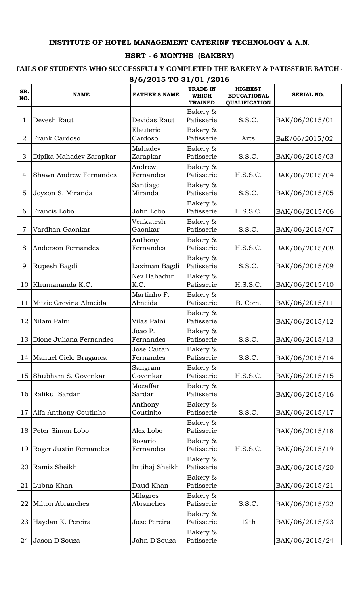## **INSTITUTE OF HOTEL MANAGEMENT CATERINF TECHNOLOGY & A.N.**

## **HSRT - 6 MONTHS (BAKERY)**

## <code>FAILS</code> OF STUDENTS WHO SUCCESSFULLY COMPLETED THE BAKERY & PATISSERIE BATCH -**8/6/2015 TO 31/01 /2016**

| SR.<br>NO.     | <b>NAME</b>                   | <b>FATHER'S NAME</b>         | <b>TRADE IN</b><br><b>WHICH</b><br><b>TRAINED</b> | <b>HIGHEST</b><br><b>EDUCATIONAL</b><br><b>QUALIFICATION</b> | <b>SERIAL NO.</b> |
|----------------|-------------------------------|------------------------------|---------------------------------------------------|--------------------------------------------------------------|-------------------|
|                |                               |                              | Bakery &                                          |                                                              |                   |
| 1              | Devesh Raut                   | Devidas Raut                 | Patisserie                                        | S.S.C.                                                       | BAK/06/2015/01    |
| $\overline{2}$ | Frank Cardoso                 | Eleuterio<br>Cardoso         | Bakery &<br>Patisserie                            | Arts                                                         | BaK/06/2015/02    |
|                |                               | Mahadev                      | Bakery &                                          |                                                              |                   |
| 3              | Dipika Mahadev Zarapkar       | Zarapkar                     | Patisserie                                        | S.S.C.                                                       | BAK/06/2015/03    |
|                |                               | Andrew                       | Bakery &                                          |                                                              |                   |
| 4              | <b>Shawn Andrew Fernandes</b> | Fernandes                    | Patisserie                                        | H.S.S.C.                                                     | BAK/06/2015/04    |
|                |                               | Santiago                     | Bakery &                                          |                                                              |                   |
| 5              | Joyson S. Miranda             | Miranda                      | Patisserie                                        | S.S.C.                                                       | BAK/06/2015/05    |
|                |                               |                              | Bakery &                                          |                                                              |                   |
| 6              | Francis Lobo                  | John Lobo                    | Patisserie                                        | H.S.S.C.                                                     | BAK/06/2015/06    |
|                |                               | Venkatesh                    | Bakery &                                          |                                                              |                   |
| 7              | Vardhan Gaonkar               | Gaonkar                      | Patisserie                                        | S.S.C.                                                       | BAK/06/2015/07    |
|                |                               | Anthony                      | Bakery &                                          |                                                              |                   |
| 8              | Anderson Fernandes            | Fernandes                    | Patisserie                                        | H.S.S.C.                                                     | BAK/06/2015/08    |
|                |                               |                              | Bakery &                                          |                                                              |                   |
| 9              | Rupesh Bagdi                  | Laximan Bagdi                | Patisserie                                        | S.S.C.                                                       | BAK/06/2015/09    |
|                |                               | Nev Bahadur                  | Bakery &                                          |                                                              |                   |
| 10             | Khumananda K.C.               | K.C.                         | Patisserie                                        | H.S.S.C.                                                     | BAK/06/2015/10    |
|                |                               | Martinho F.                  | Bakery &                                          |                                                              |                   |
| 11             | Mitzie Grevina Almeida        | Almeida                      | Patisserie                                        | B. Com.                                                      | BAK/06/2015/11    |
|                |                               |                              | Bakery &                                          |                                                              |                   |
|                | 12 Nilam Palni                | Vilas Palni                  | Patisserie                                        |                                                              | BAK/06/2015/12    |
|                |                               | Joao P.                      | Bakery &                                          |                                                              |                   |
|                | 13 Dione Juliana Fernandes    | Fernandes                    | Patisserie                                        | S.S.C.                                                       | BAK/06/2015/13    |
|                |                               | Jose Caitan                  | Bakery &                                          |                                                              |                   |
|                | 14 Manuel Cielo Braganca      | Fernandes                    | Patisserie                                        | S.S.C.                                                       | BAK/06/2015/14    |
|                |                               | Sangram                      | Bakery &                                          |                                                              |                   |
| 15             | Shubham S. Govenkar           | Govenkar                     | Patisserie                                        | H.S.S.C.                                                     | BAK/06/2015/15    |
|                |                               | Mozaffar                     | Bakery &                                          |                                                              |                   |
| 16             | Rafikul Sardar                | Sardar                       | Patisserie                                        |                                                              | BAK/06/2015/16    |
|                |                               | Anthony                      | Bakery &                                          |                                                              |                   |
| 17             | Alfa Anthony Coutinho         | Coutinho                     | Patisserie                                        | S.S.C.                                                       | BAK/06/2015/17    |
|                |                               |                              | Bakery &                                          |                                                              |                   |
|                | 18 Peter Simon Lobo           | Alex Lobo                    | Patisserie                                        |                                                              | BAK/06/2015/18    |
|                |                               | Rosario                      | Bakery &                                          |                                                              |                   |
| 19             | Roger Justin Fernandes        | Fernandes                    | Patisserie                                        | H.S.S.C.                                                     | BAK/06/2015/19    |
|                | Ramiz Sheikh                  |                              | Bakery &<br>Patisserie                            |                                                              |                   |
| 20             |                               | Imtihaj Sheikh               |                                                   |                                                              | BAK/06/2015/20    |
|                | Lubna Khan                    |                              | Bakery &<br>Patisserie                            |                                                              |                   |
| 21             |                               | Daud Khan                    |                                                   |                                                              | BAK/06/2015/21    |
|                | <b>Milton Abranches</b>       | <b>Milagres</b><br>Abranches | Bakery &<br>Patisserie                            | S.S.C.                                                       |                   |
| 22             |                               |                              |                                                   |                                                              | BAK/06/2015/22    |
|                |                               |                              | Bakery &                                          |                                                              |                   |
|                | 23 Haydan K. Pereira          | Jose Pereira                 | Patisserie                                        | 12th                                                         | BAK/06/2015/23    |
|                |                               |                              | Bakery &                                          |                                                              |                   |
|                | 24 Jason D'Souza              | John D'Souza                 | Patisserie                                        |                                                              | BAK/06/2015/24    |